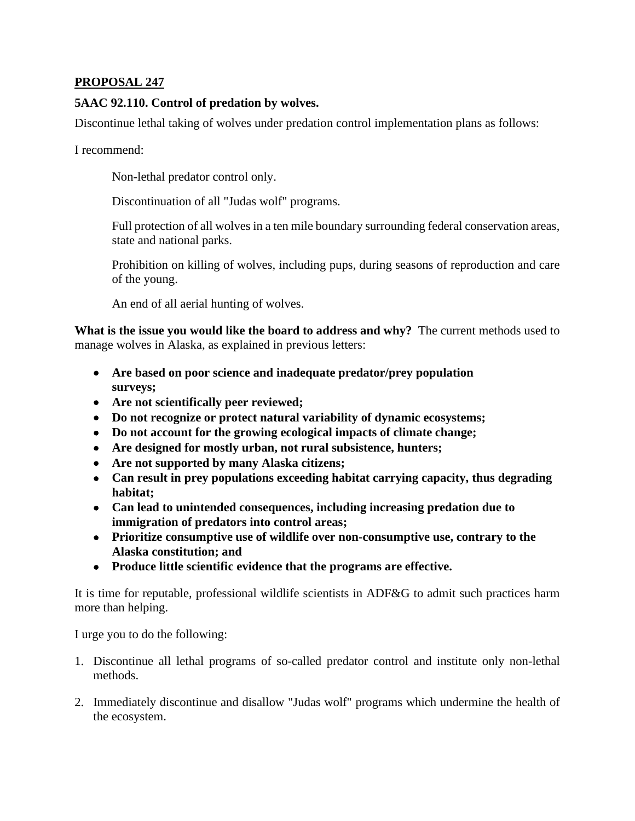## **PROPOSAL 247**

## **5AAC 92.110. Control of predation by wolves.**

Discontinue lethal taking of wolves under predation control implementation plans as follows:

I recommend:

Non-lethal predator control only.

Discontinuation of all "Judas wolf" programs.

Full protection of all wolves in a ten mile boundary surrounding federal conservation areas, state and national parks.

Prohibition on killing of wolves, including pups, during seasons of reproduction and care of the young.

An end of all aerial hunting of wolves.

**What is the issue you would like the board to address and why?** The current methods used to manage wolves in Alaska, as explained in previous letters:

- **Are based on poor science and inadequate predator/prey population surveys;**
- **Are not scientifically peer reviewed;**
- **Do not recognize or protect natural variability of dynamic ecosystems;**
- **Do not account for the growing ecological impacts of climate change;**
- **Are designed for mostly urban, not rural subsistence, hunters;**
- **Are not supported by many Alaska citizens;**
- **Can result in prey populations exceeding habitat carrying capacity, thus degrading habitat;**
- **Can lead to unintended consequences, including increasing predation due to immigration of predators into control areas;**
- **Prioritize consumptive use of wildlife over non-consumptive use, contrary to the Alaska constitution; and**
- **Produce little scientific evidence that the programs are effective.**

It is time for reputable, professional wildlife scientists in ADF&G to admit such practices harm more than helping.

I urge you to do the following:

- 1. Discontinue all lethal programs of so-called predator control and institute only non-lethal methods.
- 2. Immediately discontinue and disallow "Judas wolf" programs which undermine the health of the ecosystem.